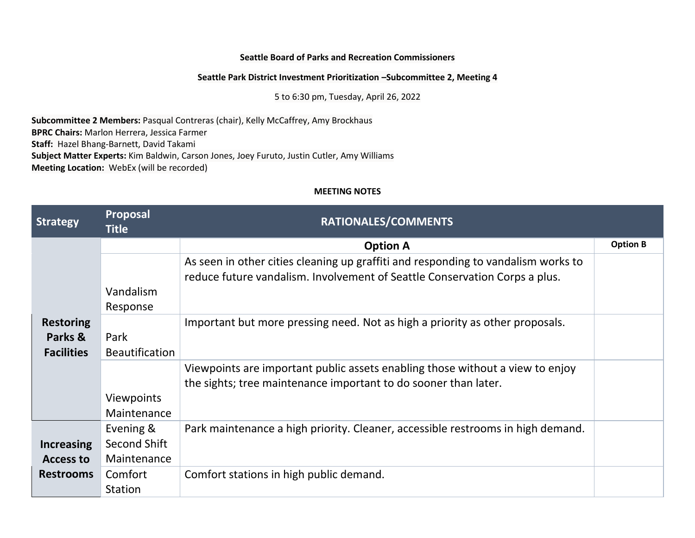## **Seattle Board of Parks and Recreation Commissioners**

## **Seattle Park District Investment Prioritization –Subcommittee 2, Meeting 4**

5 to 6:30 pm, Tuesday, April 26, 2022

**Subcommittee 2 Members:** Pasqual Contreras (chair), Kelly McCaffrey, Amy Brockhaus **BPRC Chairs:** Marlon Herrera, Jessica Farmer **Staff:** Hazel Bhang-Barnett, David Takami **Subject Matter Experts:** Kim Baldwin, Carson Jones, Joey Furuto, Justin Cutler, Amy Williams **Meeting Location:** WebEx (will be recorded)

## **MEETING NOTES**

| <b>Strategy</b>                                           | Proposal<br><b>Title</b>                 | RATIONALES/COMMENTS                                                                                                                                             |                 |
|-----------------------------------------------------------|------------------------------------------|-----------------------------------------------------------------------------------------------------------------------------------------------------------------|-----------------|
| <b>Restoring</b><br>Parks &<br><b>Facilities</b>          |                                          | <b>Option A</b>                                                                                                                                                 | <b>Option B</b> |
|                                                           | Vandalism<br>Response                    | As seen in other cities cleaning up graffiti and responding to vandalism works to<br>reduce future vandalism. Involvement of Seattle Conservation Corps a plus. |                 |
|                                                           | Park<br><b>Beautification</b>            | Important but more pressing need. Not as high a priority as other proposals.                                                                                    |                 |
|                                                           | <b>Viewpoints</b><br>Maintenance         | Viewpoints are important public assets enabling those without a view to enjoy<br>the sights; tree maintenance important to do sooner than later.                |                 |
| <b>Increasing</b><br><b>Access to</b><br><b>Restrooms</b> | Evening &<br>Second Shift<br>Maintenance | Park maintenance a high priority. Cleaner, accessible restrooms in high demand.                                                                                 |                 |
|                                                           | Comfort<br>Station                       | Comfort stations in high public demand.                                                                                                                         |                 |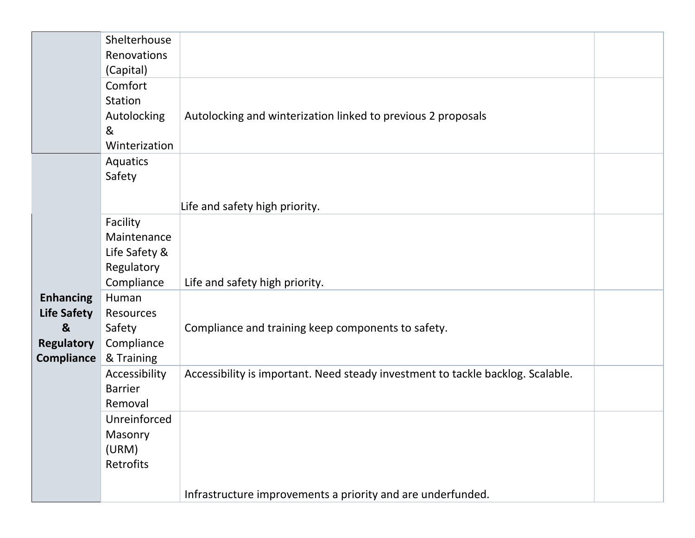|                    | Shelterhouse<br>Renovations |                                                                                 |  |
|--------------------|-----------------------------|---------------------------------------------------------------------------------|--|
|                    | (Capital)                   |                                                                                 |  |
|                    | Comfort                     |                                                                                 |  |
|                    | Station                     |                                                                                 |  |
|                    | Autolocking                 | Autolocking and winterization linked to previous 2 proposals                    |  |
|                    | &<br>Winterization          |                                                                                 |  |
|                    | Aquatics                    |                                                                                 |  |
|                    | Safety                      |                                                                                 |  |
|                    |                             |                                                                                 |  |
|                    |                             | Life and safety high priority.                                                  |  |
|                    | Facility                    |                                                                                 |  |
|                    | Maintenance                 |                                                                                 |  |
|                    | Life Safety &               |                                                                                 |  |
|                    | Regulatory<br>Compliance    | Life and safety high priority.                                                  |  |
| <b>Enhancing</b>   | Human                       |                                                                                 |  |
| <b>Life Safety</b> | Resources                   |                                                                                 |  |
| $\boldsymbol{8}$   | Safety                      | Compliance and training keep components to safety.                              |  |
| <b>Regulatory</b>  | Compliance                  |                                                                                 |  |
| <b>Compliance</b>  | & Training                  |                                                                                 |  |
|                    | Accessibility               | Accessibility is important. Need steady investment to tackle backlog. Scalable. |  |
|                    | <b>Barrier</b><br>Removal   |                                                                                 |  |
|                    | Unreinforced                |                                                                                 |  |
|                    | Masonry                     |                                                                                 |  |
|                    | (URM)                       |                                                                                 |  |
|                    | Retrofits                   |                                                                                 |  |
|                    |                             |                                                                                 |  |
|                    |                             | Infrastructure improvements a priority and are underfunded.                     |  |